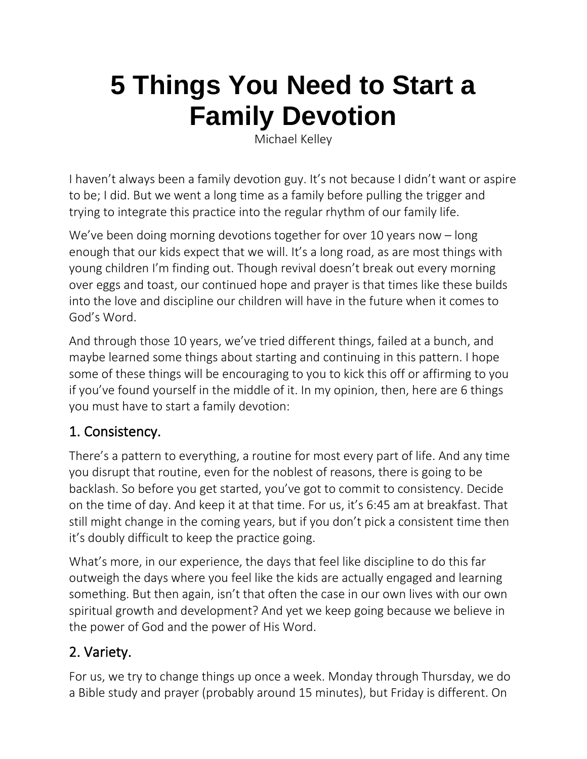# **5 Things You Need to Start a Family Devotion**

Michael Kelley

I haven't always been a family devotion guy. It's not because I didn't want or aspire to be; I did. But we went a long time as a family before pulling the trigger and trying to integrate this practice into the regular rhythm of our family life.

We've been doing morning devotions together for over 10 years now – long enough that our kids expect that we will. It's a long road, as are most things with young children I'm finding out. Though revival doesn't break out every morning over eggs and toast, our continued hope and prayer is that times like these builds into the love and discipline our children will have in the future when it comes to God's Word.

And through those 10 years, we've tried different things, failed at a bunch, and maybe learned some things about starting and continuing in this pattern. I hope some of these things will be encouraging to you to kick this off or affirming to you if you've found yourself in the middle of it. In my opinion, then, here are 6 things you must have to start a family devotion:

#### 1. Consistency.

There's a pattern to everything, a routine for most every part of life. And any time you disrupt that routine, even for the noblest of reasons, there is going to be backlash. So before you get started, you've got to commit to consistency. Decide on the time of day. And keep it at that time. For us, it's 6:45 am at breakfast. That still might change in the coming years, but if you don't pick a consistent time then it's doubly difficult to keep the practice going.

What's more, in our experience, the days that feel like discipline to do this far outweigh the days where you feel like the kids are actually engaged and learning something. But then again, isn't that often the case in our own lives with our own spiritual growth and development? And yet we keep going because we believe in the power of God and the power of His Word.

# 2. Variety.

For us, we try to change things up once a week. Monday through Thursday, we do a Bible study and prayer (probably around 15 minutes), but Friday is different. On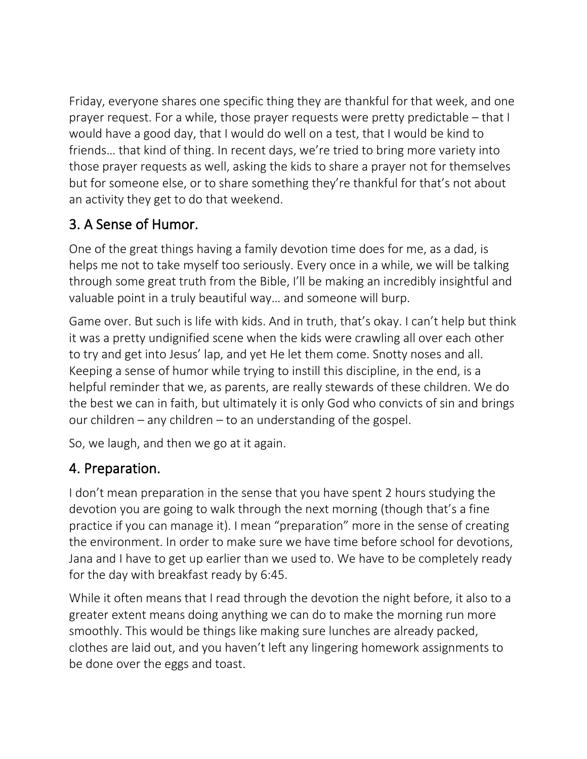Friday, everyone shares one specific thing they are thankful for that week, and one prayer request. For a while, those prayer requests were pretty predictable – that I would have a good day, that I would do well on a test, that I would be kind to friends… that kind of thing. In recent days, we're tried to bring more variety into those prayer requests as well, asking the kids to share a prayer not for themselves but for someone else, or to share something they're thankful for that's not about an activity they get to do that weekend.

### 3. A Sense of Humor.

One of the great things having a family devotion time does for me, as a dad, is helps me not to take myself too seriously. Every once in a while, we will be talking through some great truth from the Bible, I'll be making an incredibly insightful and valuable point in a truly beautiful way… and someone will burp.

Game over. But such is life with kids. And in truth, that's okay. I can't help but think it was a pretty undignified scene when the kids were crawling all over each other to try and get into Jesus' lap, and yet He let them come. Snotty noses and all. Keeping a sense of humor while trying to instill this discipline, in the end, is a helpful reminder that we, as parents, are really stewards of these children. We do the best we can in faith, but ultimately it is only God who convicts of sin and brings our children – any children – to an understanding of the gospel.

So, we laugh, and then we go at it again.

# 4. Preparation.

I don't mean preparation in the sense that you have spent 2 hours studying the devotion you are going to walk through the next morning (though that's a fine practice if you can manage it). I mean "preparation" more in the sense of creating the environment. In order to make sure we have time before school for devotions, Jana and I have to get up earlier than we used to. We have to be completely ready for the day with breakfast ready by 6:45.

While it often means that I read through the devotion the night before, it also to a greater extent means doing anything we can do to make the morning run more smoothly. This would be things like making sure lunches are already packed, clothes are laid out, and you haven't left any lingering homework assignments to be done over the eggs and toast.